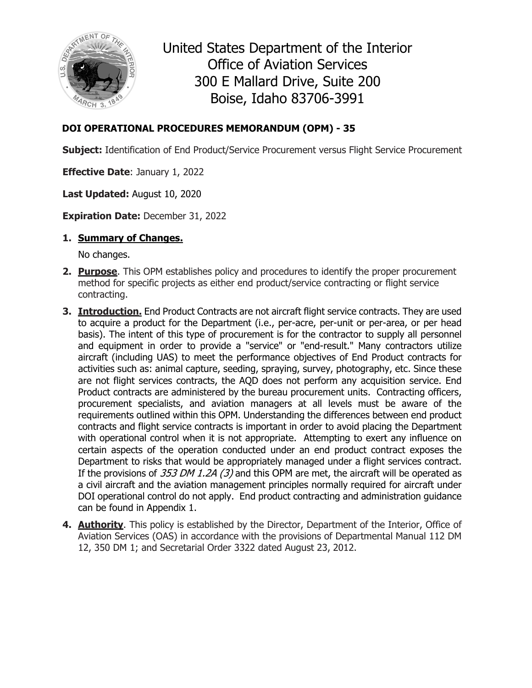

United States Department of the Interior Office of Aviation Services 300 E Mallard Drive, Suite 200 Boise, Idaho 83706-3991

### **DOI OPERATIONAL PROCEDURES MEMORANDUM (OPM) - 35**

**Subject:** Identification of End Product/Service Procurement versus Flight Service Procurement

**Effective Date**: January 1, 2022

**Last Updated:** August 10, 2020

**Expiration Date:** December 31, 2022

**1. Summary of Changes.** 

No changes.

- **2. Purpose**. This OPM establishes policy and procedures to identify the proper procurement method for specific projects as either end product/service contracting or flight service contracting.
- **3. Introduction.** End Product Contracts are not aircraft flight service contracts. They are used to acquire a product for the Department (i.e., per-acre, per-unit or per-area, or per head basis). The intent of this type of procurement is for the contractor to supply all personnel and equipment in order to provide a "service" or "end-result." Many contractors utilize aircraft (including UAS) to meet the performance objectives of End Product contracts for activities such as: animal capture, seeding, spraying, survey, photography, etc. Since these are not flight services contracts, the AQD does not perform any acquisition service. End Product contracts are administered by the bureau procurement units. Contracting officers, procurement specialists, and aviation managers at all levels must be aware of the requirements outlined within this OPM. Understanding the differences between end product contracts and flight service contracts is important in order to avoid placing the Department with operational control when it is not appropriate. Attempting to exert any influence on certain aspects of the operation conducted under an end product contract exposes the Department to risks that would be appropriately managed under a flight services contract. If the provisions of  $353$  DM 1.2A (3) and this OPM are met, the aircraft will be operated as a civil aircraft and the aviation management principles normally required for aircraft under DOI operational control do not apply. End product contracting and administration guidance can be found in Appendix 1.
- **4. Authority**. This policy is established by the Director, Department of the Interior, Office of Aviation Services (OAS) in accordance with the provisions of Departmental Manual 112 DM 12, 350 DM 1; and Secretarial Order 3322 dated August 23, 2012.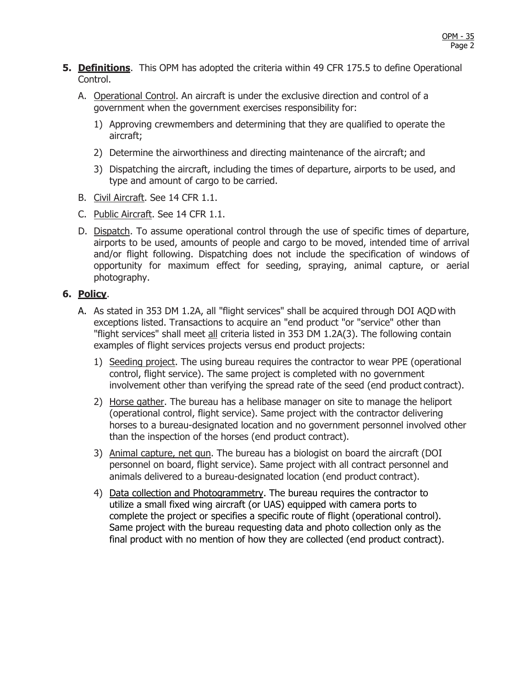- **5. Definitions**. This OPM has adopted the criteria within 49 CFR 175.5 to define Operational Control.
	- A. Operational Control. An aircraft is under the exclusive direction and control of a government when the government exercises responsibility for:
		- 1) Approving crewmembers and determining that they are qualified to operate the aircraft;
		- 2) Determine the airworthiness and directing maintenance of the aircraft; and
		- 3) Dispatching the aircraft, including the times of departure, airports to be used, and type and amount of cargo to be carried.
	- B. Civil Aircraft. See 14 CFR 1.1.
	- C. Public Aircraft. See 14 CFR 1.1.
	- D. Dispatch. To assume operational control through the use of specific times of departure, airports to be used, amounts of people and cargo to be moved, intended time of arrival and/or flight following. Dispatching does not include the specification of windows of opportunity for maximum effect for seeding, spraying, animal capture, or aerial photography.

#### **6. Policy**.

- A. As stated in 353 DM 1.2A, all "flight services" shall be acquired through DOI AQD with exceptions listed. Transactions to acquire an "end product "or "service" other than "flight services" shall meet all criteria listed in 353 DM 1.2A(3). The following contain examples of flight services projects versus end product projects:
	- 1) Seeding project. The using bureau requires the contractor to wear PPE (operational control, flight service). The same project is completed with no government involvement other than verifying the spread rate of the seed (end product contract).
	- 2) Horse gather. The bureau has a helibase manager on site to manage the heliport (operational control, flight service). Same project with the contractor delivering horses to a bureau-designated location and no government personnel involved other than the inspection of the horses (end product contract).
	- 3) Animal capture, net gun. The bureau has a biologist on board the aircraft (DOI personnel on board, flight service). Same project with all contract personnel and animals delivered to a bureau-designated location (end product contract).
	- 4) Data collection and Photogrammetry. The bureau requires the contractor to utilize a small fixed wing aircraft (or UAS) equipped with camera ports to complete the project or specifies a specific route of flight (operational control). Same project with the bureau requesting data and photo collection only as the final product with no mention of how they are collected (end product contract).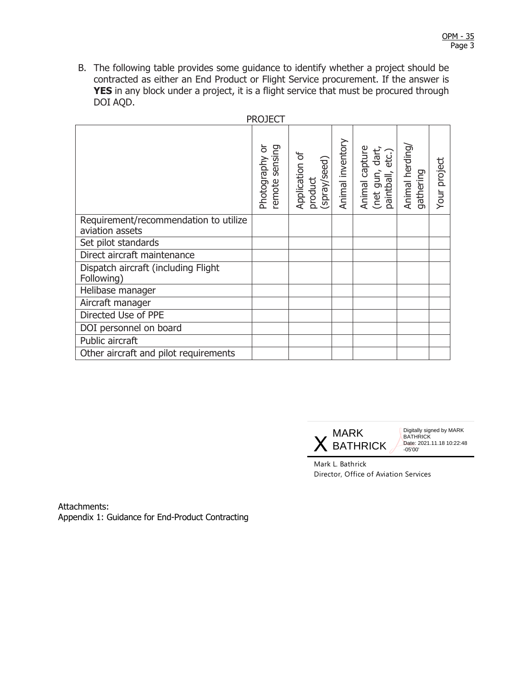B. The following table provides some guidance to identify whether a project should be contracted as either an End Product or Flight Service procurement. If the answer is **YES** in any block under a project, it is a flight service that must be procured through DOI AQD.

| <b>PROJECT</b>                                           |                                     |                                           |                  |                                                       |                             |              |
|----------------------------------------------------------|-------------------------------------|-------------------------------------------|------------------|-------------------------------------------------------|-----------------------------|--------------|
|                                                          | Photography or<br>sensing<br>remote | Application of<br>product<br>(spray/seed) | Animal inventory | Animal capture<br>(net gun, dart,<br>paintball, etc.) | Animal herding<br>gathering | Your project |
| Requirement/recommendation to utilize<br>aviation assets |                                     |                                           |                  |                                                       |                             |              |
| Set pilot standards                                      |                                     |                                           |                  |                                                       |                             |              |
| Direct aircraft maintenance                              |                                     |                                           |                  |                                                       |                             |              |
| Dispatch aircraft (including Flight<br>Following)        |                                     |                                           |                  |                                                       |                             |              |
| Helibase manager                                         |                                     |                                           |                  |                                                       |                             |              |
| Aircraft manager                                         |                                     |                                           |                  |                                                       |                             |              |
| Directed Use of PPE                                      |                                     |                                           |                  |                                                       |                             |              |
| DOI personnel on board                                   |                                     |                                           |                  |                                                       |                             |              |
| Public aircraft                                          |                                     |                                           |                  |                                                       |                             |              |
| Other aircraft and pilot requirements                    |                                     |                                           |                  |                                                       |                             |              |



Mark L. Bathrick Director, Office of Aviation Services

Attachments: Appendix 1: Guidance for End-Product Contracting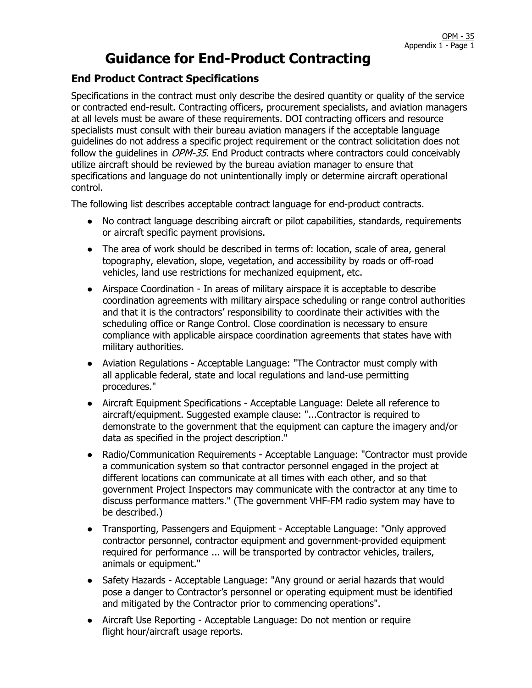## **Guidance for End-Product Contracting**

### **End Product Contract Specifications**

Specifications in the contract must only describe the desired quantity or quality of the service or contracted end-result. Contracting officers, procurement specialists, and aviation managers at all levels must be aware of these requirements. DOI contracting officers and resource specialists must consult with their bureau aviation managers if the acceptable language guidelines do not address a specific project requirement or the contract solicitation does not follow the quidelines in *OPM-35*. End Product contracts where contractors could conceivably utilize aircraft should be reviewed by the bureau aviation manager to ensure that specifications and language do not unintentionally imply or determine aircraft operational control.

The following list describes acceptable contract language for end-product contracts.

- No contract language describing aircraft or pilot capabilities, standards, requirements or aircraft specific payment provisions.
- The area of work should be described in terms of: location, scale of area, general topography, elevation, slope, vegetation, and accessibility by roads or off-road vehicles, land use restrictions for mechanized equipment, etc.
- Airspace Coordination In areas of military airspace it is acceptable to describe coordination agreements with military airspace scheduling or range control authorities and that it is the contractors' responsibility to coordinate their activities with the scheduling office or Range Control. Close coordination is necessary to ensure compliance with applicable airspace coordination agreements that states have with military authorities.
- Aviation Regulations Acceptable Language: "The Contractor must comply with all applicable federal, state and local regulations and land-use permitting procedures."
- Aircraft Equipment Specifications Acceptable Language: Delete all reference to aircraft/equipment. Suggested example clause: "...Contractor is required to demonstrate to the government that the equipment can capture the imagery and/or data as specified in the project description."
- Radio/Communication Requirements Acceptable Language: "Contractor must provide a communication system so that contractor personnel engaged in the project at different locations can communicate at all times with each other, and so that government Project Inspectors may communicate with the contractor at any time to discuss performance matters." (The government VHF-FM radio system may have to be described.)
- Transporting, Passengers and Equipment Acceptable Language: "Only approved contractor personnel, contractor equipment and government-provided equipment required for performance ... will be transported by contractor vehicles, trailers, animals or equipment."
- Safety Hazards Acceptable Language: "Any ground or aerial hazards that would pose a danger to Contractor's personnel or operating equipment must be identified and mitigated by the Contractor prior to commencing operations".
- Aircraft Use Reporting Acceptable Language: Do not mention or require flight hour/aircraft usage reports.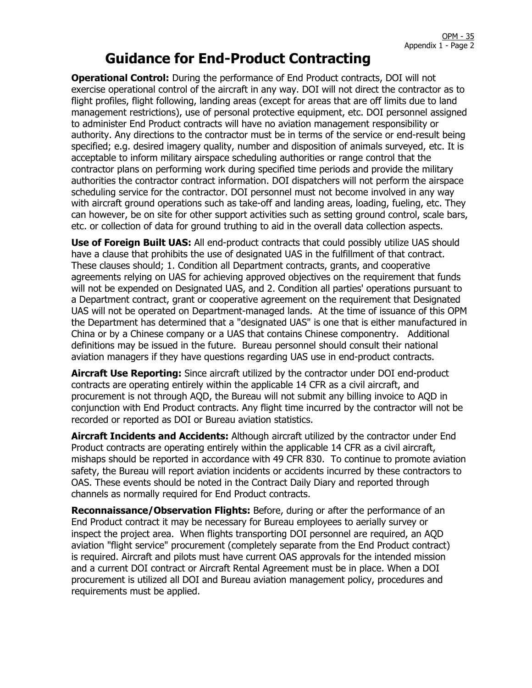# **Guidance for End-Product Contracting**

**Operational Control:** During the performance of End Product contracts, DOI will not exercise operational control of the aircraft in any way. DOI will not direct the contractor as to flight profiles, flight following, landing areas (except for areas that are off limits due to land management restrictions), use of personal protective equipment, etc. DOI personnel assigned to administer End Product contracts will have no aviation management responsibility or authority. Any directions to the contractor must be in terms of the service or end-result being specified; e.g. desired imagery quality, number and disposition of animals surveyed, etc. It is acceptable to inform military airspace scheduling authorities or range control that the contractor plans on performing work during specified time periods and provide the military authorities the contractor contract information. DOI dispatchers will not perform the airspace scheduling service for the contractor. DOI personnel must not become involved in any way with aircraft ground operations such as take-off and landing areas, loading, fueling, etc. They can however, be on site for other support activities such as setting ground control, scale bars, etc. or collection of data for ground truthing to aid in the overall data collection aspects.

**Use of Foreign Built UAS:** All end-product contracts that could possibly utilize UAS should have a clause that prohibits the use of designated UAS in the fulfillment of that contract. These clauses should; 1. Condition all Department contracts, grants, and cooperative agreements relying on UAS for achieving approved objectives on the requirement that funds will not be expended on Designated UAS, and 2. Condition all parties' operations pursuant to a Department contract, grant or cooperative agreement on the requirement that Designated UAS will not be operated on Department-managed lands. At the time of issuance of this OPM the Department has determined that a "designated UAS" is one that is either manufactured in China or by a Chinese company or a UAS that contains Chinese componentry. Additional definitions may be issued in the future. Bureau personnel should consult their national aviation managers if they have questions regarding UAS use in end-product contracts.

**Aircraft Use Reporting:** Since aircraft utilized by the contractor under DOI end-product contracts are operating entirely within the applicable 14 CFR as a civil aircraft, and procurement is not through AQD, the Bureau will not submit any billing invoice to AQD in conjunction with End Product contracts. Any flight time incurred by the contractor will not be recorded or reported as DOI or Bureau aviation statistics.

**Aircraft Incidents and Accidents:** Although aircraft utilized by the contractor under End Product contracts are operating entirely within the applicable 14 CFR as a civil aircraft, mishaps should be reported in accordance with 49 CFR 830. To continue to promote aviation safety, the Bureau will report aviation incidents or accidents incurred by these contractors to OAS. These events should be noted in the Contract Daily Diary and reported through channels as normally required for End Product contracts.

**Reconnaissance/Observation Flights:** Before, during or after the performance of an End Product contract it may be necessary for Bureau employees to aerially survey or inspect the project area. When flights transporting DOI personnel are required, an AQD aviation "flight service" procurement (completely separate from the End Product contract) is required. Aircraft and pilots must have current OAS approvals for the intended mission and a current DOI contract or Aircraft Rental Agreement must be in place. When a DOI procurement is utilized all DOI and Bureau aviation management policy, procedures and requirements must be applied.